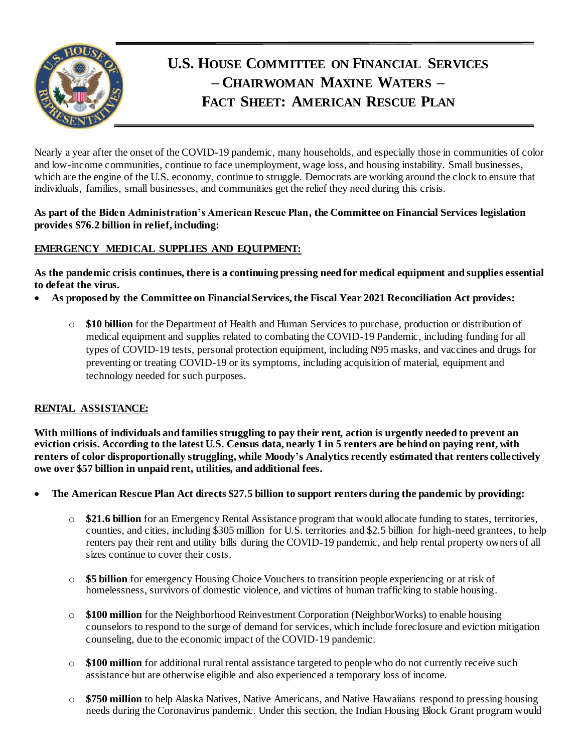

# **U.S. HOUSE COMMITTEE ON FINANCIAL SERVICES – CHAIRWOMAN MAXINE WATERS – FACT SHEET: AMERICAN RESCUE PLAN**

Nearly a year after the onset of the COVID-19 pandemic, many households, and especially those in communities of color and low-income communities, continue to face unemployment, wage loss, and housing instability. Small businesses, which are the engine of the U.S. economy, continue to struggle. Democrats are working around the clock to ensure that individuals, families, small businesses, and communities get the relief they need during this crisis.

#### **As part of the Biden Administration's American Rescue Plan, the Committee on Financial Services legislation provides \$76.2 billion in relief, including:**

# **EMERGENCY MEDICAL SUPPLIES AND EQUIPMENT:**

**As the pandemic crisis continues, there is a continuing pressing need for medical equipment and supplies essential to defeat the virus.**

- **As proposed by the Committee on Financial Services, the Fiscal Year 2021 Reconciliation Act provides:**
	- o **\$10 billion** for the Department of Health and Human Services to purchase, production or distribution of medical equipment and supplies related to combating the COVID-19 Pandemic, including funding for all types of COVID-19 tests, personal protection equipment, including N95 masks, and vaccines and drugs for preventing or treating COVID-19 or its symptoms, including acquisition of material, equipment and technology needed for such purposes.

#### **RENTAL ASSISTANCE:**

**With millions of individuals and families struggling to pay their rent, action is urgently needed to prevent an eviction crisis. According to the latest U.S. Census data, nearly 1 in 5 renters are behind on paying rent, with renters of color disproportionally struggling, while Moody's Analytics recently estimated that renters collectively owe over \$57 billion in unpaid rent, utilities, and additional fees.**

- **The American Rescue Plan Act directs \$27.5 billion to support renters during the pandemic by providing:** 
	- o **\$21.6 billion** for an Emergency Rental Assistance program that would allocate funding to states, territories, counties, and cities, including \$305 million for U.S. territories and \$2.5 billion for high-need grantees, to help renters pay their rent and utility bills during the COVID-19 pandemic, and help rental property owners of all sizes continue to cover their costs.
	- o **\$5 billion** for emergency Housing Choice Vouchers to transition people experiencing or at risk of homelessness, survivors of domestic violence, and victims of human trafficking to stable housing.
	- o **\$100 million** for the Neighborhood Reinvestment Corporation (NeighborWorks) to enable housing counselors to respond to the surge of demand for services, which include foreclosure and eviction mitigation counseling, due to the economic impact of the COVID-19 pandemic.
	- o **\$100 million** for additional rural rental assistance targeted to people who do not currently receive such assistance but are otherwise eligible and also experienced a temporary loss of income.
	- o **\$750 million** to help Alaska Natives, Native Americans, and Native Hawaiians respond to pressing housing needs during the Coronavirus pandemic. Under this section, the Indian Housing Block Grant program would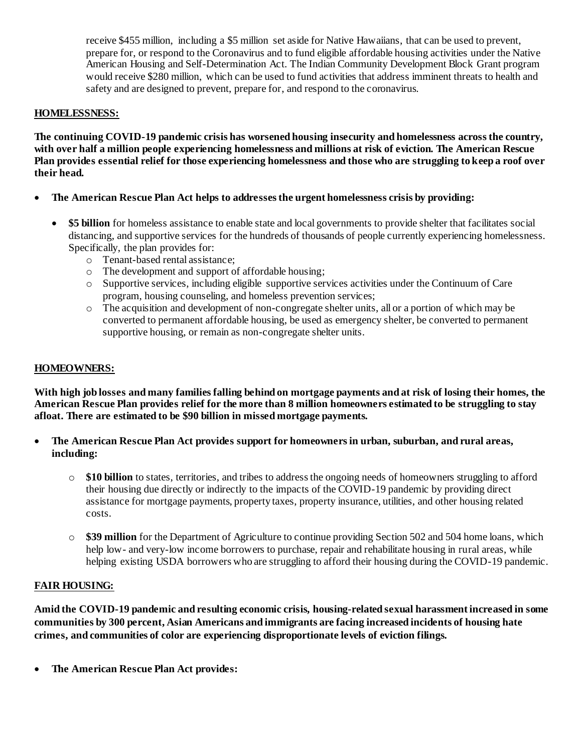receive \$455 million, including a \$5 million set aside for Native Hawaiians, that can be used to prevent, prepare for, or respond to the Coronavirus and to fund eligible affordable housing activities under the Native American Housing and Self-Determination Act. The Indian Community Development Block Grant program would receive \$280 million, which can be used to fund activities that address imminent threats to health and safety and are designed to prevent, prepare for, and respond to the coronavirus.

### **HOMELESSNESS:**

**The continuing COVID-19 pandemic crisis has worsened housing insecurity and homelessness acrossthe country, with over half a million people experiencing homelessness and millions at risk of eviction. The American Rescue Plan provides essential relief for those experiencing homelessness and those who are struggling to keep a roof over their head.** 

- **The American Rescue Plan Act helps to addresses the urgent homelessness crisis by providing:**
	- **\$5 billion** for homeless assistance to enable state and local governments to provide shelter that facilitates social distancing, and supportive services for the hundreds of thousands of people currently experiencing homelessness. Specifically, the plan provides for:
		- o Tenant-based rental assistance;
		- o The development and support of affordable housing;
		- o Supportive services, including eligible supportive services activities under the Continuum of Care program, housing counseling, and homeless prevention services;
		- o The acquisition and development of non-congregate shelter units, all or a portion of which may be converted to permanent affordable housing, be used as emergency shelter, be converted to permanent supportive housing, or remain as non-congregate shelter units.

#### **HOMEOWNERS:**

**With high job losses and many families falling behind on mortgage payments and at risk of losing their homes, the American Rescue Plan provides relief for the more than 8 million homeowners estimated to be struggling to stay afloat. There are estimated to be \$90 billion in missed mortgage payments.**

- **The American Rescue Plan Act provides support for homeowners in urban, suburban, and rural areas, including:** 
	- o **\$10 billion** to states, territories, and tribes to address the ongoing needs of homeowners struggling to afford their housing due directly or indirectly to the impacts of the COVID-19 pandemic by providing direct assistance for mortgage payments, property taxes, property insurance, utilities, and other housing related costs.
	- o **\$39 million** for the Department of Agriculture to continue providing Section 502 and 504 home loans, which help low- and very-low income borrowers to purchase, repair and rehabilitate housing in rural areas, while helping existing USDA borrowers who are struggling to afford their housing during the COVID-19 pandemic.

#### **FAIR HOUSING:**

**Amid the COVID-19 pandemic and resulting economic crisis, housing-related sexual harassment increased in some communities by 300 percent, Asian Americans and immigrants are facing increased incidents of housing hate crimes, and communities of color are experiencing disproportionate levels of eviction filings.**

**The American Rescue Plan Act provides:**